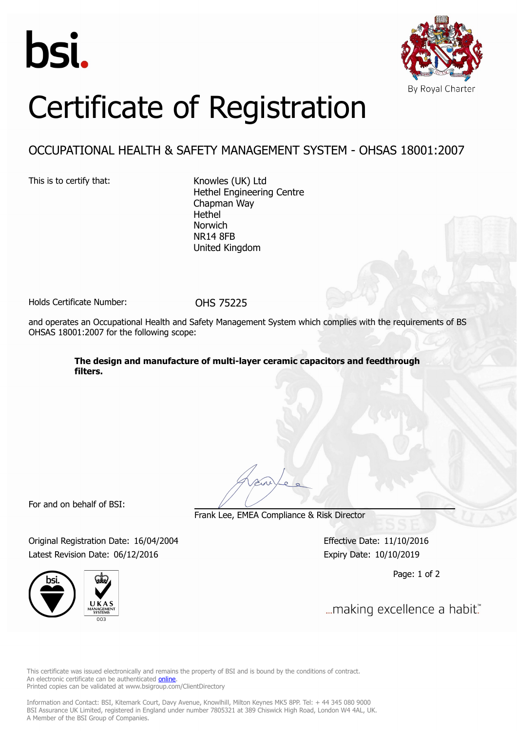



## Certificate of Registration

## OCCUPATIONAL HEALTH & SAFETY MANAGEMENT SYSTEM - OHSAS 18001:2007

This is to certify that: Knowles (UK) Ltd

Hethel Engineering Centre Chapman Way Hethel Norwich NR14 8FB United Kingdom

Holds Certificate Number: 0HS 75225

and operates an Occupational Health and Safety Management System which complies with the requirements of BS OHSAS 18001:2007 for the following scope:

> **The design and manufacture of multi-layer ceramic capacitors and feedthrough filters.**

For and on behalf of BSI:

Frank Lee, EMEA Compliance & Risk Director

Original Registration Date: 16/04/2004 Effective Date: 11/10/2016 Latest Revision Date: 06/12/2016 Expiry Date: 10/10/2019

Page: 1 of 2

... making excellence a habit."

This certificate was issued electronically and remains the property of BSI and is bound by the conditions of contract. An electronic certificate can be authenticated **[online](https://pgplus.bsigroup.com/CertificateValidation/CertificateValidator.aspx?CertificateNumber=OHS 75225&ReIssueDate=06/12/2016&Template=uk)** Printed copies can be validated at www.bsigroup.com/ClientDirectory

Information and Contact: BSI, Kitemark Court, Davy Avenue, Knowlhill, Milton Keynes MK5 8PP. Tel: + 44 345 080 9000 BSI Assurance UK Limited, registered in England under number 7805321 at 389 Chiswick High Road, London W4 4AL, UK. A Member of the BSI Group of Companies.